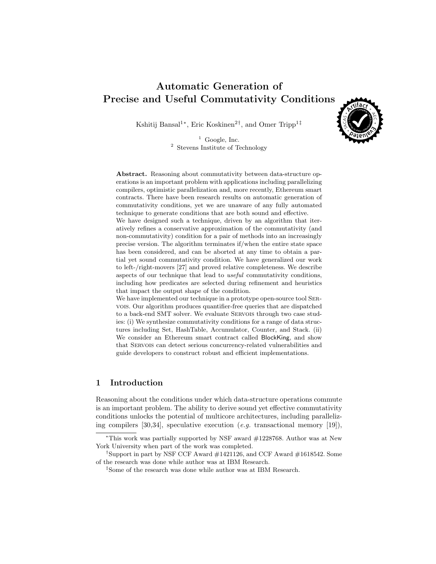# Automatic Generation of Precise and Useful Commutativity Conditions

Kshitij Bansal<sup>1</sup><sup>\*</sup>, Eric Koskinen<sup>2†</sup>, and Omer Tripp<sup>1‡</sup>

 $1$  Google, Inc. <sup>2</sup> Stevens Institute of Technology



Abstract. Reasoning about commutativity between data-structure operations is an important problem with applications including parallelizing compilers, optimistic parallelization and, more recently, Ethereum smart contracts. There have been research results on automatic generation of commutativity conditions, yet we are unaware of any fully automated technique to generate conditions that are both sound and effective.

We have designed such a technique, driven by an algorithm that iteratively refines a conservative approximation of the commutativity (and non-commutativity) condition for a pair of methods into an increasingly precise version. The algorithm terminates if/when the entire state space has been considered, and can be aborted at any time to obtain a partial yet sound commutativity condition. We have generalized our work to left-/right-movers [27] and proved relative completeness. We describe aspects of our technique that lead to useful commutativity conditions, including how predicates are selected during refinement and heuristics that impact the output shape of the condition.

We have implemented our technique in a prototype open-source tool SERvois. Our algorithm produces quantifier-free queries that are dispatched to a back-end SMT solver. We evaluate Servois through two case studies: (i) We synthesize commutativity conditions for a range of data structures including Set, HashTable, Accumulator, Counter, and Stack. (ii) We consider an Ethereum smart contract called BlockKing, and show that Servois can detect serious concurrency-related vulnerabilities and guide developers to construct robust and efficient implementations.

# 1 Introduction

Reasoning about the conditions under which data-structure operations commute is an important problem. The ability to derive sound yet effective commutativity conditions unlocks the potential of multicore architectures, including parallelizing compilers [30,34], speculative execution (e.g. transactional memory [19]),

<sup>∗</sup>This work was partially supported by NSF award #1228768. Author was at New York University when part of the work was completed.

<sup>†</sup>Support in part by NSF CCF Award #1421126, and CCF Award #1618542. Some of the research was done while author was at IBM Research.

<sup>‡</sup>Some of the research was done while author was at IBM Research.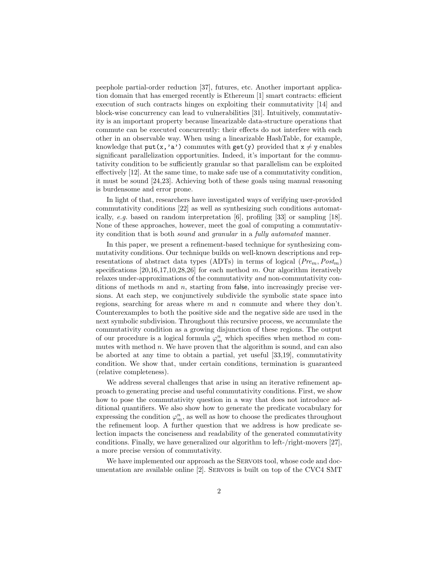peephole partial-order reduction [37], futures, etc. Another important application domain that has emerged recently is Ethereum [1] smart contracts: efficient execution of such contracts hinges on exploiting their commutativity [14] and block-wise concurrency can lead to vulnerabilities [31]. Intuitively, commutativity is an important property because linearizable data-structure operations that commute can be executed concurrently: their effects do not interfere with each other in an observable way. When using a linearizable HashTable, for example, knowledge that  $put(x, 'a')$  commutes with  $get(y)$  provided that  $x \neq y$  enables significant parallelization opportunities. Indeed, it's important for the commutativity condition to be sufficiently granular so that parallelism can be exploited effectively [12]. At the same time, to make safe use of a commutativity condition, it must be sound [24,23]. Achieving both of these goals using manual reasoning is burdensome and error prone.

In light of that, researchers have investigated ways of verifying user-provided commutativity conditions [22] as well as synthesizing such conditions automatically, e.g. based on random interpretation [6], profiling [33] or sampling [18]. None of these approaches, however, meet the goal of computing a commutativity condition that is both sound and granular in a fully automated manner.

In this paper, we present a refinement-based technique for synthesizing commutativity conditions. Our technique builds on well-known descriptions and representations of abstract data types (ADTs) in terms of logical  $(Pre_m, Post_m)$ specifications  $[20,16,17,10,28,26]$  for each method m. Our algorithm iteratively relaxes under-approximations of the commutativity and non-commutativity conditions of methods m and n, starting from false, into increasingly precise versions. At each step, we conjunctively subdivide the symbolic state space into regions, searching for areas where  $m$  and  $n$  commute and where they don't. Counterexamples to both the positive side and the negative side are used in the next symbolic subdivision. Throughout this recursive process, we accumulate the commutativity condition as a growing disjunction of these regions. The output of our procedure is a logical formula  $\varphi_m^n$  which specifies when method m commutes with method  $n$ . We have proven that the algorithm is sound, and can also be aborted at any time to obtain a partial, yet useful [33,19], commutativity condition. We show that, under certain conditions, termination is guaranteed (relative completeness).

We address several challenges that arise in using an iterative refinement approach to generating precise and useful commutativity conditions. First, we show how to pose the commutativity question in a way that does not introduce additional quantifiers. We also show how to generate the predicate vocabulary for expressing the condition  $\varphi_m^n$ , as well as how to choose the predicates throughout the refinement loop. A further question that we address is how predicate selection impacts the conciseness and readability of the generated commutativity conditions. Finally, we have generalized our algorithm to left-/right-movers [27], a more precise version of commutativity.

We have implemented our approach as the SERVOIS tool, whose code and documentation are available online [2]. Servois is built on top of the CVC4 SMT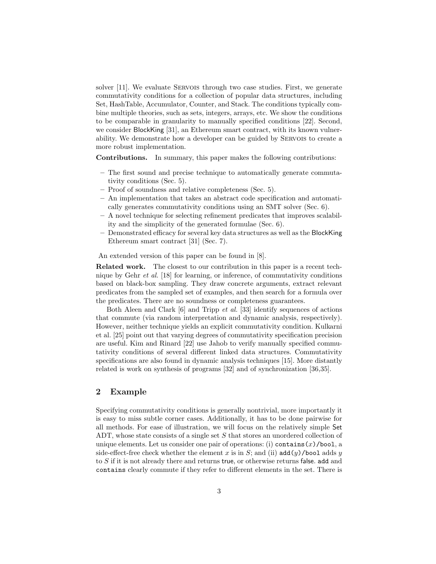solver [11]. We evaluate Servois through two case studies. First, we generate commutativity conditions for a collection of popular data structures, including Set, HashTable, Accumulator, Counter, and Stack. The conditions typically combine multiple theories, such as sets, integers, arrays, etc. We show the conditions to be comparable in granularity to manually specified conditions [22]. Second, we consider BlockKing [31], an Ethereum smart contract, with its known vulnerability. We demonstrate how a developer can be guided by Servois to create a more robust implementation.

Contributions. In summary, this paper makes the following contributions:

- The first sound and precise technique to automatically generate commutativity conditions (Sec. 5).
- Proof of soundness and relative completeness (Sec. 5).
- An implementation that takes an abstract code specification and automatically generates commutativity conditions using an SMT solver (Sec. 6).
- A novel technique for selecting refinement predicates that improves scalability and the simplicity of the generated formulae (Sec. 6).
- Demonstrated efficacy for several key data structures as well as the BlockKing Ethereum smart contract [31] (Sec. 7).

An extended version of this paper can be found in [8].

Related work. The closest to our contribution in this paper is a recent technique by Gehr *et al.* [18] for learning, or inference, of commutativity conditions based on black-box sampling. They draw concrete arguments, extract relevant predicates from the sampled set of examples, and then search for a formula over the predicates. There are no soundness or completeness guarantees.

Both Aleen and Clark [6] and Tripp et al. [33] identify sequences of actions that commute (via random interpretation and dynamic analysis, respectively). However, neither technique yields an explicit commutativity condition. Kulkarni et al. [25] point out that varying degrees of commutativity specification precision are useful. Kim and Rinard [22] use Jahob to verify manually specified commutativity conditions of several different linked data structures. Commutativity specifications are also found in dynamic analysis techniques [15]. More distantly related is work on synthesis of programs [32] and of synchronization [36,35].

### 2 Example

Specifying commutativity conditions is generally nontrivial, more importantly it is easy to miss subtle corner cases. Additionally, it has to be done pairwise for all methods. For ease of illustration, we will focus on the relatively simple Set ADT, whose state consists of a single set S that stores an unordered collection of unique elements. Let us consider one pair of operations: (i) contains  $(x)$ /bool, a side-effect-free check whether the element x is in S; and (ii) add(y)/bool adds y to  $S$  if it is not already there and returns true, or otherwise returns false. add and contains clearly commute if they refer to different elements in the set. There is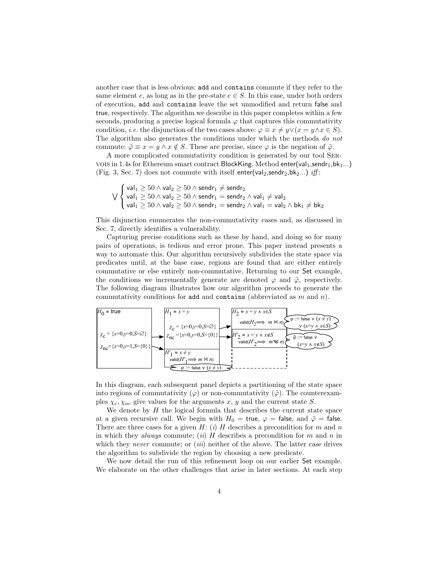another case that is less obvious: add and contains commute if they refer to the same element e, as long as in the pre-state  $e \in S$ . In this case, under both orders of execution, add and contains leave the set unmodified and return false and true, respectively. The algorithm we describe in this paper completes within a few seconds, producing a precise logical formula  $\varphi$  that captures this commutativity condition, *i.e.* the disjunction of the two cases above:  $\varphi \equiv x \neq y \lor (x = y \land x \in S)$ . The algorithm also generates the conditions under which the methods do not commute:  $\tilde{\varphi} \equiv x = y \wedge x \notin S$ . These are precise, since  $\varphi$  is the negation of  $\tilde{\varphi}$ .

A more complicated commutativity condition is generated by our tool Servois in 1.4s for Ethereum smart contract BlockKing. Method enter(val<sub>1</sub>,sendr<sub>1</sub>,bk<sub>1</sub>...) (Fig. 3, Sec. 7) does not commute with itself enter(val<sub>2</sub>, sendr<sub>2</sub>, bk<sub>2</sub>...) *iff*:

$$
\bigvee \left\{\begin{aligned} \mathsf{val}_1 &\ge 50 \wedge \mathsf{val}_2 \ge 50 \wedge \mathsf{sendr}_1 \ne \mathsf{sendr}_2 \\ \mathsf{val}_1 &\ge 50 \wedge \mathsf{val}_2 \ge 50 \wedge \mathsf{sendr}_1 = \mathsf{sendr}_2 \wedge \mathsf{val}_1 \ne \mathsf{val}_2 \\ \mathsf{val}_1 &\ge 50 \wedge \mathsf{val}_2 \ge 50 \wedge \mathsf{sendr}_1 = \mathsf{sendr}_2 \wedge \mathsf{val}_1 = \mathsf{val}_2 \wedge \mathsf{bk}_1 \ne \mathsf{bk}_2 \end{aligned} \right.
$$

This disjunction enumerates the non-commutativity cases and, as discussed in Sec. 7, directly identifies a vulnerability.

Capturing precise conditions such as these by hand, and doing so for many pairs of operations, is tedious and error prone. This paper instead presents a way to automate this. Our algorithm recursively subdivides the state space via predicates until, at the base case, regions are found that are either entirely commutative or else entirely non-commutative. Returning to our Set example, the conditions we incrementally generate are denoted  $\varphi$  and  $\tilde{\varphi}$ , respectively. The following diagram illustrates how our algorithm proceeds to generate the commutativity conditions for add and contains (abbreviated as  $m$  and  $n$ ).



In this diagram, each subsequent panel depicts a partitioning of the state space into regions of commutativity ( $\varphi$ ) or non-commutativity ( $\tilde{\varphi}$ ). The counterexamples  $\chi_c, \chi_{nc}$  give values for the arguments x, y and the current state S.

We denote by  $H$  the logical formula that describes the current state space at a given recursive call. We begin with  $H_0 = \text{true}$ ,  $\varphi = \text{false}$ , and  $\tilde{\varphi} = \text{false}$ . There are three cases for a given  $H: (i)$  H describes a precondition for m and n in which they *always* commute; (*ii*) H describes a precondition for m and n in which they never commute; or  $(iii)$  neither of the above. The latter case drives the algorithm to subdivide the region by choosing a new predicate.

We now detail the run of this refinement loop on our earlier Set example. We elaborate on the other challenges that arise in later sections. At each step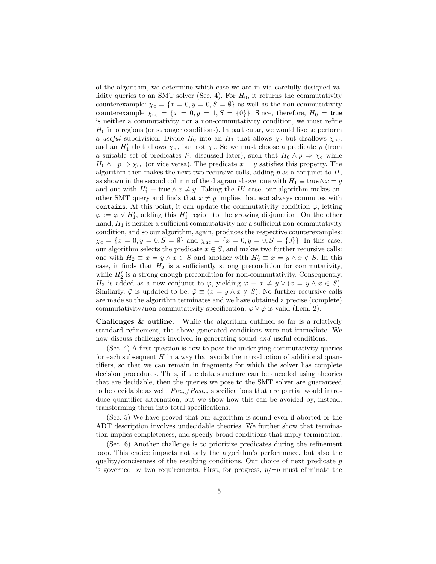of the algorithm, we determine which case we are in via carefully designed validity queries to an SMT solver (Sec. 4). For  $H_0$ , it returns the commutativity counterexample:  $\chi_c = \{x = 0, y = 0, S = \emptyset\}$  as well as the non-commutativity counterexample  $\chi_{\text{nc}} = \{x = 0, y = 1, S = \{0\}\}\.$  Since, therefore,  $H_0 = \text{true}$ is neither a commutativity nor a non-commutativity condition, we must refine  $H_0$  into regions (or stronger conditions). In particular, we would like to perform a useful subdivision: Divide  $H_0$  into an  $H_1$  that allows  $\chi_c$  but disallows  $\chi_{nc}$ , and an  $H_1'$  that allows  $\chi_{\text{nc}}$  but not  $\chi_{\text{c}}$ . So we must choose a predicate p (from a suitable set of predicates P, discussed later), such that  $H_0 \wedge p \Rightarrow \chi_c$  while  $H_0 \wedge \neg p \Rightarrow \chi_{\text{nc}}$  (or vice versa). The predicate  $x = y$  satisfies this property. The algorithm then makes the next two recursive calls, adding  $p$  as a conjunct to  $H$ , as shown in the second column of the diagram above: one with  $H_1 \equiv \text{true} \land x = y$ and one with  $H'_1 \equiv \text{true} \land x \neq y$ . Taking the  $H'_1$  case, our algorithm makes another SMT query and finds that  $x \neq y$  implies that add always commutes with contains. At this point, it can update the commutativity condition  $\varphi$ , letting  $\varphi := \varphi \vee H_1'$ , adding this  $H_1'$  region to the growing disjunction. On the other hand,  $H_1$  is neither a sufficient commutativity nor a sufficient non-commutativity condition, and so our algorithm, again, produces the respective counterexamples:  $\chi_c = \{x = 0, y = 0, S = \emptyset\}$  and  $\chi_{nc} = \{x = 0, y = 0, S = \{0\}\}.$  In this case, our algorithm selects the predicate  $x \in S$ , and makes two further recursive calls: one with  $H_2 \equiv x = y \land x \in S$  and another with  $H'_2 \equiv x = y \land x \notin S$ . In this case, it finds that  $H_2$  is a sufficiently strong precondition for commutativity, while  $H_2'$  is a strong enough precondition for non-commutativity. Consequently,  $H_2$  is added as a new conjunct to  $\varphi$ , yielding  $\varphi \equiv x \neq y \lor (x = y \land x \in S)$ . Similarly,  $\tilde{\varphi}$  is updated to be:  $\tilde{\varphi} \equiv (x = y \land x \notin S)$ . No further recursive calls are made so the algorithm terminates and we have obtained a precise (complete) commutativity/non-commutativity specification:  $\varphi \vee \tilde{\varphi}$  is valid (Lem. 2).

**Challenges & outline.** While the algorithm outlined so far is a relatively standard refinement, the above generated conditions were not immediate. We now discuss challenges involved in generating sound and useful conditions.

(Sec. 4) A first question is how to pose the underlying commutativity queries for each subsequent  $H$  in a way that avoids the introduction of additional quantifiers, so that we can remain in fragments for which the solver has complete decision procedures. Thus, if the data structure can be encoded using theories that are decidable, then the queries we pose to the SMT solver are guaranteed to be decidable as well.  $Pre_m/Post_m$  specifications that are partial would introduce quantifier alternation, but we show how this can be avoided by, instead, transforming them into total specifications.

(Sec. 5) We have proved that our algorithm is sound even if aborted or the ADT description involves undecidable theories. We further show that termination implies completeness, and specify broad conditions that imply termination.

(Sec. 6) Another challenge is to prioritize predicates during the refinement loop. This choice impacts not only the algorithm's performance, but also the quality/conciseness of the resulting conditions. Our choice of next predicate  $p$ is governed by two requirements. First, for progress,  $p/\neg p$  must eliminate the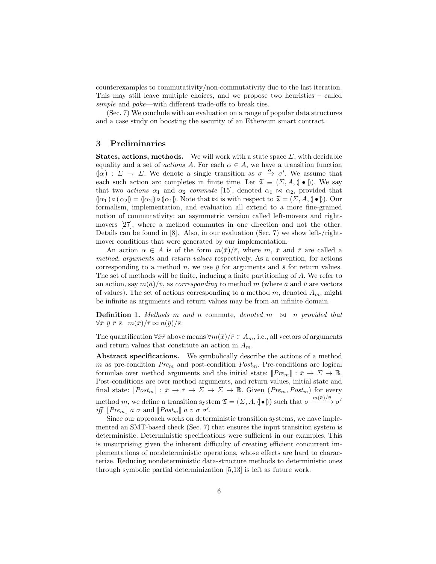counterexamples to commutativity/non-commutativity due to the last iteration. This may still leave multiple choices, and we propose two heuristics – called simple and poke—with different trade-offs to break ties.

(Sec. 7) We conclude with an evaluation on a range of popular data structures and a case study on boosting the security of an Ethereum smart contract.

#### 3 Preliminaries

**States, actions, methods.** We will work with a state space  $\Sigma$ , with decidable equality and a set of *actions A*. For each  $\alpha \in A$ , we have a transition function  $(\alpha) : \Sigma \to \Sigma$ . We denote a single transition as  $\sigma \stackrel{\alpha}{\to} \sigma'$ . We assume that each such action arc completes in finite time. Let  $\mathfrak{T} \equiv (\Sigma, A, (\bullet, \bullet))$ . We say that two *actions*  $\alpha_1$  and  $\alpha_2$  *commute* [15], denoted  $\alpha_1 \bowtie \alpha_2$ , provided that  $(\alpha_1) \circ (\alpha_2) = (\alpha_2) \circ (\alpha_1)$ . Note that  $\bowtie$  is with respect to  $\mathfrak{T} = (\Sigma, A, (\bullet))$ . Our formalism, implementation, and evaluation all extend to a more fine-grained notion of commutativity: an asymmetric version called left-movers and rightmovers [27], where a method commutes in one direction and not the other. Details can be found in [8]. Also, in our evaluation (Sec. 7) we show left-/rightmover conditions that were generated by our implementation.

An action  $\alpha \in A$  is of the form  $m(\bar{x})/\bar{r}$ , where m,  $\bar{x}$  and  $\bar{r}$  are called a method, arguments and return values respectively. As a convention, for actions corresponding to a method n, we use  $\bar{y}$  for arguments and  $\bar{s}$  for return values. The set of methods will be finite, inducing a finite partitioning of A. We refer to an action, say  $m(\bar{a})/\bar{v}$ , as corresponding to method m (where  $\bar{a}$  and  $\bar{v}$  are vectors of values). The set of actions corresponding to a method m, denoted  $A_m$ , might be infinite as arguments and return values may be from an infinite domain.

**Definition 1.** Methods m and n commute, denoted m  $\bowtie$  n provided that  $\forall \bar{x} \bar{y} \bar{r} \bar{s}.$   $m(\bar{x})/\bar{r} \bowtie n(\bar{y})/\bar{s}.$ 

The quantification  $\forall \bar{x}\bar{r}$  above means  $\forall m(\bar{x})/\bar{r} \in A_m$ , i.e., all vectors of arguments and return values that constitute an action in  $A_m$ .

Abstract specifications. We symbolically describe the actions of a method m as pre-condition  $Pre_m$  and post-condition  $Post_m$ . Pre-conditions are logical formulae over method arguments and the initial state:  $[Pre_m] : \bar{x} \to \Sigma \to \mathbb{B}$ . Post-conditions are over method arguments, and return values, initial state and final state:  $[Post_m] : \bar{x} \to \bar{r} \to \Sigma \to \Sigma \to \mathbb{B}$ . Given  $(Pre_m, Post_m)$  for every method m, we define a transition system  $\mathfrak{T} = (\Sigma, A, (\bullet))$  such that  $\sigma \xrightarrow{m(\bar{a})/\bar{v}} \sigma'$ iff  $[Pre_m] \bar{a} \sigma$  and  $[Post_m] \bar{a} \bar{v} \sigma \sigma'$ .

Since our approach works on deterministic transition systems, we have implemented an SMT-based check (Sec. 7) that ensures the input transition system is deterministic. Deterministic specifications were sufficient in our examples. This is unsurprising given the inherent difficulty of creating efficient concurrent implementations of nondeterministic operations, whose effects are hard to characterize. Reducing nondeterministic data-structure methods to deterministic ones through symbolic partial determinization [5,13] is left as future work.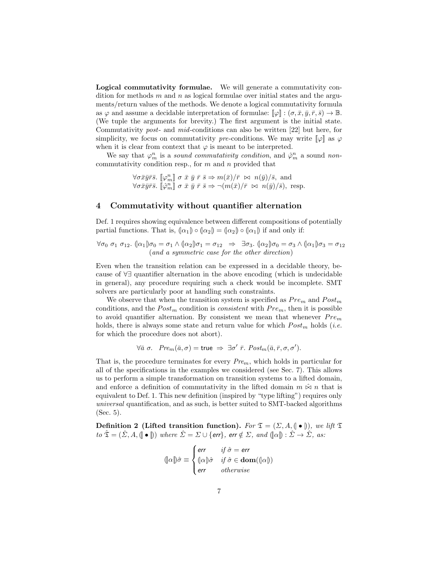Logical commutativity formulae. We will generate a commutativity condition for methods  $m$  and  $n$  as logical formulae over initial states and the arguments/return values of the methods. We denote a logical commutativity formula as  $\varphi$  and assume a decidable interpretation of formulae:  $[\varphi] : (\sigma, \bar{x}, \bar{y}, \bar{r}, \bar{s}) \to \mathbb{B}$ . (We tuple the arguments for brevity.) The first argument is the initial state. Commutativity post- and mid-conditions can also be written [22] but here, for simplicity, we focus on commutativity pre-conditions. We may write  $\llbracket \varphi \rrbracket$  as  $\varphi$ when it is clear from context that  $\varphi$  is meant to be interpreted.

We say that  $\varphi_m^n$  is a *sound commutativity condition*, and  $\hat{\varphi}_m^n$  a sound noncommutativity condition resp., for  $m$  and  $n$  provided that

> $\forall \sigma \bar{x} \bar{y} \bar{r} \bar{s}$ .  $[\![\varphi_m^n]\!] \sigma \bar{x} \bar{y} \bar{r} \bar{s} \Rightarrow m(\bar{x})/\bar{r} \bowtie n(\bar{y})/\bar{s}$ , and  $\forall \sigma \bar{x} \bar{y} \bar{r} \bar{s}$ .  $[\hat{\varphi}_m^n] \sigma \bar{x} \bar{y} \bar{r} \bar{s} \Rightarrow \neg(m(\bar{x})/\bar{r} \bowtie n(\bar{y})/\bar{s})$ , resp.

#### 4 Commutativity without quantifier alternation

Def. 1 requires showing equivalence between different compositions of potentially partial functions. That is,  $(|\alpha_1|) \circ (|\alpha_2|) = ||\alpha_2| \circ (|\alpha_1|)$  if and only if:

 $\forall \sigma_0 \; \sigma_1 \; \sigma_{12}. \; \langle \alpha_1 | \rangle \sigma_0 = \sigma_1 \wedge \langle \alpha_2 | \rangle \sigma_1 = \sigma_{12} \;\; \Rightarrow \;\; \exists \sigma_3. \; \langle \alpha_2 | \rangle \sigma_0 = \sigma_3 \wedge \langle \alpha_1 | \rangle \sigma_3 = \sigma_{12}$ (and a symmetric case for the other direction)

Even when the transition relation can be expressed in a decidable theory, because of ∀∃ quantifier alternation in the above encoding (which is undecidable in general), any procedure requiring such a check would be incomplete. SMT solvers are particularly poor at handling such constraints.

We observe that when the transition system is specified as  $Pre_m$  and  $Post_m$ conditions, and the  $Post_m$  condition is *consistent* with  $Pre_m$ , then it is possible to avoid quantifier alternation. By consistent we mean that whenever  $Pre<sub>m</sub>$ holds, there is always some state and return value for which  $Post_m$  holds (*i.e.* for which the procedure does not abort).

 $\forall \bar{a} \; \sigma. \quad Pre_m(\bar{a}, \sigma) = \text{true} \; \Rightarrow \; \exists \sigma' \; \bar{r}. \; Post_m(\bar{a}, \bar{r}, \sigma, \sigma').$ 

That is, the procedure terminates for every  $Pre_m$ , which holds in particular for all of the specifications in the examples we considered (see Sec. 7). This allows us to perform a simple transformation on transition systems to a lifted domain, and enforce a definition of commutativity in the lifted domain  $m \approx n$  that is equivalent to Def. 1. This new definition (inspired by "type lifting") requires only universal quantification, and as such, is better suited to SMT-backed algorithms (Sec. 5).

**Definition 2** (Lifted transition function). For  $\mathfrak{T} = (\Sigma, A, (\bullet, \bullet))$ , we lift  $\mathfrak{T}$ to  $\hat{\mathfrak{T}} = (\hat{\Sigma}, A, (\mathbb{I} \bullet \mathbb{I}))$  where  $\hat{\Sigma} = \Sigma \cup \{err\}$ , err  $\notin \Sigma$ , and  $(\mathbb{I} \alpha \mathbb{I}) : \hat{\Sigma} \to \hat{\Sigma}$ , as:

$$
\langle \! \langle \alpha \rangle \! \rangle \hat{\sigma} \equiv \begin{cases} err & \text{if } \hat{\sigma} = err \\ \langle \alpha \rangle \hat{\sigma} & \text{if } \hat{\sigma} \in \text{dom}(\langle \alpha \rangle) \\ err & \text{otherwise} \end{cases}
$$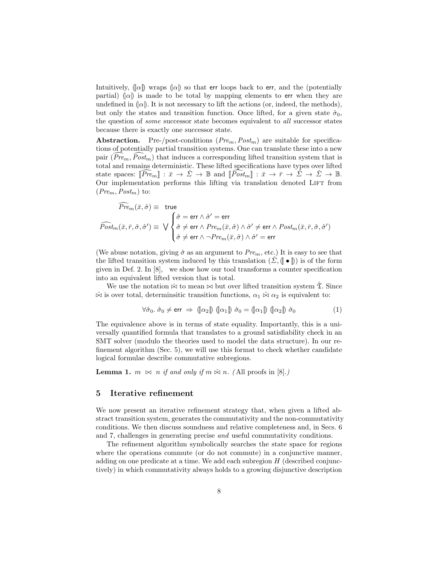Intuitively,  $\llbracket \alpha \rrbracket$  wraps  $\llbracket \alpha \rrbracket$  so that err loops back to err, and the (potentially partial)  $(\alpha)$  is made to be total by mapping elements to err when they are undefined in  $(\alpha)$ . It is not necessary to lift the actions (or, indeed, the methods), but only the states and transition function. Once lifted, for a given state  $\hat{\sigma}_0$ , the question of some successor state becomes equivalent to all successor states because there is exactly one successor state.

Abstraction. Pre-/post-conditions  $(Pre_m, Post_m)$  are suitable for specifications of potentially partial transition systems. One can translate these into a new pair  $(Pre_m, Post_m)$  that induces a corresponding lifted transition system that is total and remains deterministic. These lifted specifications have types over lifted state spaces:  $[Pre_m] : \bar{x} \to \Sigma \to \mathbb{B}$  and  $[Post_m] : \bar{x} \to \bar{r} \to \Sigma \to \Sigma \to \mathbb{B}$ . Our implementation performs this lifting via translation denoted LIFT from  $(Pre_m, Post_m)$  to:

$$
\widehat{Post}_m(\bar{x}, \hat{\sigma}) \equiv \text{ true}
$$
\n
$$
\widehat{Post}_m(\bar{x}, \bar{r}, \hat{\sigma}, \hat{\sigma}') \equiv \sqrt{\begin{cases}\n\hat{\sigma} = \text{err} \land \hat{\sigma}' = \text{err} \\
\hat{\sigma} \neq \text{err} \land Pre_m(\bar{x}, \hat{\sigma}) \land \hat{\sigma}' \neq \text{err} \land Post_m(\bar{x}, \bar{r}, \hat{\sigma}, \hat{\sigma}')\n\end{cases}}
$$
\n
$$
\widehat{\sigma} \neq \text{err} \land Pre_m(\bar{x}, \hat{\sigma}) \land \hat{\sigma}' = \text{err}
$$

(We abuse notation, giving  $\hat{\sigma}$  as an argument to  $Pre_m$ , etc.) It is easy to see that the lifted transition system induced by this translation  $(\Sigma, (\lVert \bullet \rVert))$  is of the form given in Def. 2. In [8], we show how our tool transforms a counter specification into an equivalent lifted version that is total.

We use the notation  $\hat{\bowtie}$  to mean  $\bowtie$  but over lifted transition system  $\mathfrak{T}$ . Since  $\hat{\bowtie}$  is over total, determinsitic transition functions,  $\alpha_1 \hat{\bowtie} \alpha_2$  is equivalent to:

$$
\forall \hat{\sigma}_0. \ \hat{\sigma}_0 \neq \text{err} \ \Rightarrow \ (\llbracket \alpha_2 \rrbracket \ \ (\llbracket \alpha_1 \rrbracket \ \ \hat{\sigma}_0 = (\llbracket \alpha_1 \rrbracket \ \ (\llbracket \alpha_2 \rrbracket \ \ \hat{\sigma}_0 \tag{1}
$$

The equivalence above is in terms of state equality. Importantly, this is a universally quantified formula that translates to a ground satisfiability check in an SMT solver (modulo the theories used to model the data structure). In our refinement algorithm (Sec. 5), we will use this format to check whether candidate logical formulae describe commutative subregions.

**Lemma 1.**  $m \bowtie n$  if and only if  $m \hat{\bowtie} n$ . (All proofs in [8].)

#### 5 Iterative refinement

We now present an iterative refinement strategy that, when given a lifted abstract transition system, generates the commutativity and the non-commutativity conditions. We then discuss soundness and relative completeness and, in Secs. 6 and 7, challenges in generating precise and useful commutativity conditions.

The refinement algorithm symbolically searches the state space for regions where the operations commute (or do not commute) in a conjunctive manner, adding on one predicate at a time. We add each subregion  $H$  (described conjunctively) in which commutativity always holds to a growing disjunctive description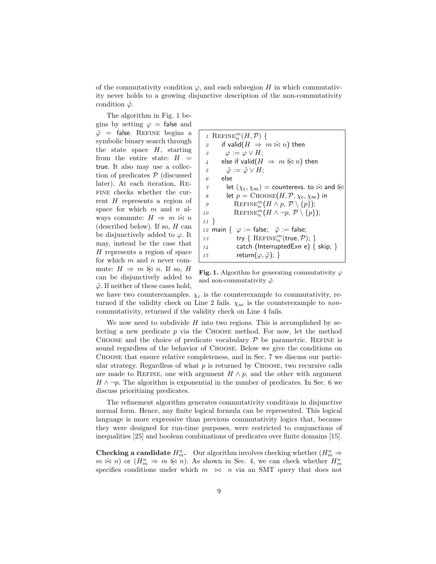of the commutativity condition  $\varphi$ , and each subregion H in which commutativity never holds to a growing disjunctive description of the non-commutativity condition  $\tilde{\varphi}$ .

The algorithm in Fig. 1 begins by setting  $\varphi = \mathsf{false}$  and  $\tilde{\varphi}$  = false. REFINE begins a symbolic binary search through the state space  $H$ , starting from the entire state:  $H =$ true. It also may use a collection of predicates  $\mathcal P$  (discussed later). At each iteration, Refine checks whether the current H represents a region of space for which  $m$  and  $n$  always commute:  $H \Rightarrow m \approx n$ (described below). If so,  $H$  can be disjunctively added to  $\varphi$ . It may, instead be the case that H represents a region of space for which  $m$  and  $n$  never commute:  $H \Rightarrow m \approx n$ . If so, H can be disjunctively added to  $\tilde{\varphi}$ . If neither of these cases hold,



**Fig. 1.** Algorithm for generating commutativity  $\varphi$ and non-commutativity  $\tilde{\varphi}$ .

we have two counterexamples.  $\chi_c$  is the counterexample to commutativity, returned if the validity check on Line 2 fails.  $\chi_{nc}$  is the counterexample to noncommutativity, returned if the validity check on Line 4 fails.

We now need to subdivide  $H$  into two regions. This is accomplished by selecting a new predicate  $p$  via the CHOOSE method. For now, let the method CHOOSE and the choice of predicate vocabulary  $P$  be parametric. REFINE is sound regardless of the behavior of Choose. Below we give the conditions on Choose that ensure relative completeness, and in Sec. 7 we discuss our particular strategy. Regardless of what  $p$  is returned by Choose, two recursive calls are made to REFINE, one with argument  $H \wedge p$ , and the other with argument  $H \wedge \neg p$ . The algorithm is exponential in the number of predicates. In Sec. 6 we discuss prioritizing predicates.

The refinement algorithm generates commutativity conditions in disjunctive normal form. Hence, any finite logical formula can be represented. This logical language is more expressive than previous commutativity logics that, because they were designed for run-time purposes, were restricted to conjunctions of inequalities [25] and boolean combinations of predicates over finite domains [15].

**Checking a candidate**  $H_m^n$ . Our algorithm involves checking whether  $(H_m^n \Rightarrow$  $m \approx n$  or  $(H_m^n \Rightarrow m \approx n)$ . As shown in Sec. 4, we can check whether  $H_m^n$ specifies conditions under which  $m \approx n$  via an SMT query that does not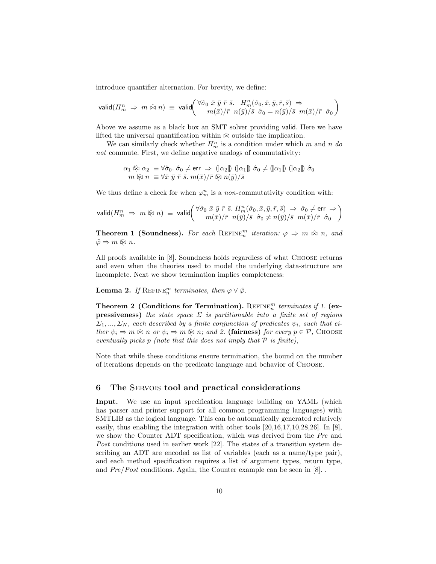introduce quantifier alternation. For brevity, we define:

$$
\mathsf{valid}(H^n_m \;\Rightarrow\; m\mathrel{\hat{\bowtie}} n) \;\equiv\; \mathsf{valid}\bigg(\frac{\forall \hat{\sigma}_0\; \bar{x}\; \bar{y}\; \bar{r}\; \bar{s}.\quad H^n_m(\hat{\sigma}_0, \bar{x}, \bar{y}, \bar{r}, \bar{s}) \;\Rightarrow\;}{m(\bar{x})/\bar{r}\;\; n(\bar{y})/\bar{s}\;\; \hat{\sigma}_0 = n(\bar{y})/\bar{s}\;\; m(\bar{x})/\bar{r}\;\; \hat{\sigma}_0\bigg)
$$

Above we assume as a black box an SMT solver providing valid. Here we have lifted the universal quantification within  $\hat{\infty}$  outside the implication.

We can similarly check whether  $H_m^n$  is a condition under which m and n do not commute. First, we define negative analogs of commutativity:

$$
\alpha_1 \stackrel{\sim}{\otimes} \alpha_2 \equiv \forall \hat{\sigma}_0. \ \hat{\sigma}_0 \neq \text{err} \ \Rightarrow \ (\llbracket \alpha_2 \rrbracket) \ (\llbracket \alpha_1 \rrbracket) \ \hat{\sigma}_0 \neq (\llbracket \alpha_1 \rrbracket) \ (\llbracket \alpha_2 \rrbracket) \ \hat{\sigma}_0 \nm \stackrel{\sim}{\otimes} n \ \equiv \forall \bar{x} \ \bar{y} \ \bar{r} \ \bar{s}.\ m(\bar{x}) / \bar{r} \stackrel{\sim}{\otimes} n(\bar{y}) / \bar{s}
$$

We thus define a check for when  $\varphi_m^n$  is a non-commutativity condition with:

$$
\mathsf{valid}(H^n_m \;\Rightarrow\; m\bigtriangledown n) \;\equiv\; \mathsf{valid}\bigg(\frac{\forall \hat{\sigma}_0\; \bar{x}\; \bar{y}\; \bar{r}\; \bar{s}.\; H^n_m(\hat{\sigma}_0, \bar{x}, \bar{y}, \bar{r}, \bar{s}) \;\Rightarrow\; \hat{\sigma}_0 \neq \mathsf{err}\;\Rightarrow}{m(\bar{x})/\bar{r}\; \; n(\bar{y})/\bar{s}\;\; \hat{\sigma}_0 \neq n(\bar{y})/\bar{s}\;\; m(\bar{x})/\bar{r}\;\; \hat{\sigma}_0}\bigg)
$$

**Theorem 1 (Soundness).** For each REFINE<sup>m</sup> iteration:  $\varphi \Rightarrow m \otimes n$ , and  $\tilde{\varphi} \Rightarrow m \Join n$ .

All proofs available in [8]. Soundness holds regardless of what Choose returns and even when the theories used to model the underlying data-structure are incomplete. Next we show termination implies completeness:

**Lemma 2.** If  $\text{REFINE}_n^m$  terminates, then  $\varphi \vee \tilde{\varphi}$ .

Theorem 2 (Conditions for Termination). REFINE<sup>*m*</sup> terminates if 1. (ex**pressiveness**) the state space  $\Sigma$  is partitionable into a finite set of regions  $\Sigma_1, ..., \Sigma_N$ , each described by a finite conjunction of predicates  $\psi_i$ , such that either  $\psi_i \Rightarrow m \hat{\bowtie} n$  or  $\psi_i \Rightarrow m \hat{\bowtie} n$ ; and 2. (fairness) for every  $p \in \mathcal{P}$ , Choose eventually picks  $p$  (note that this does not imply that  $P$  is finite),

Note that while these conditions ensure termination, the bound on the number of iterations depends on the predicate language and behavior of Choose.

#### 6 The Servois tool and practical considerations

Input. We use an input specification language building on YAML (which has parser and printer support for all common programming languages) with SMTLIB as the logical language. This can be automatically generated relatively easily, thus enabling the integration with other tools [20,16,17,10,28,26]. In [8], we show the Counter ADT specification, which was derived from the Pre and Post conditions used in earlier work [22]. The states of a transition system describing an ADT are encoded as list of variables (each as a name/type pair), and each method specification requires a list of argument types, return type, and Pre/Post conditions. Again, the Counter example can be seen in [8]. .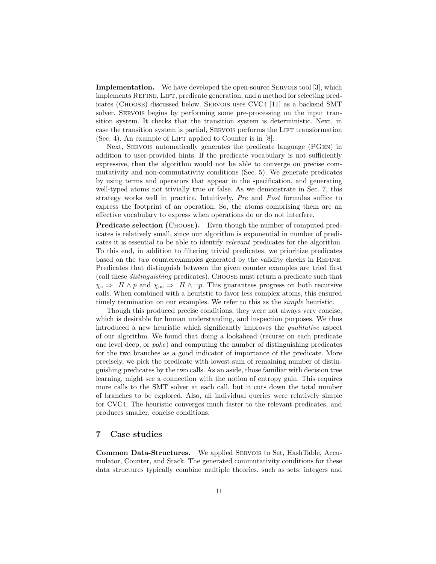Implementation. We have developed the open-source SERVOIS tool [3], which implements REFINE, LIFT, predicate generation, and a method for selecting predicates (Choose) discussed below. Servois uses CVC4 [11] as a backend SMT solver. SERVOIS begins by performing some pre-processing on the input transition system. It checks that the transition system is deterministic. Next, in case the transition system is partial, SERVOIS performs the LIFT transformation (Sec. 4). An example of LIFT applied to Counter is in  $[8]$ .

Next, Servois automatically generates the predicate language (PGen) in addition to user-provided hints. If the predicate vocabulary is not sufficiently expressive, then the algorithm would not be able to converge on precise commutativity and non-commutativity conditions (Sec. 5). We generate predicates by using terms and operators that appear in the specification, and generating well-typed atoms not trivially true or false. As we demonstrate in Sec. 7, this strategy works well in practice. Intuitively, Pre and Post formulas suffice to express the footprint of an operation. So, the atoms comprising them are an effective vocabulary to express when operations do or do not interfere.

Predicate selection (Choose). Even though the number of computed predicates is relatively small, since our algorithm is exponential in number of predicates it is essential to be able to identify relevant predicates for the algorithm. To this end, in addition to filtering trivial predicates, we prioritize predicates based on the two counterexamples generated by the validity checks in Refine. Predicates that distinguish between the given counter examples are tried first (call these distinguishing predicates). Choose must return a predicate such that  $\chi_c \Rightarrow H \wedge p$  and  $\chi_{nc} \Rightarrow H \wedge \neg p$ . This guarantees progress on both recursive calls. When combined with a heuristic to favor less complex atoms, this ensured timely termination on our examples. We refer to this as the *simple* heuristic.

Though this produced precise conditions, they were not always very concise, which is desirable for human understanding, and inspection purposes. We thus introduced a new heuristic which significantly improves the qualitative aspect of our algorithm. We found that doing a lookahead (recurse on each predicate one level deep, or poke) and computing the number of distinguishing predicates for the two branches as a good indicator of importance of the predicate. More precisely, we pick the predicate with lowest sum of remaining number of distinguishing predicates by the two calls. As an aside, those familiar with decision tree learning, might see a connection with the notion of entropy gain. This requires more calls to the SMT solver at each call, but it cuts down the total number of branches to be explored. Also, all individual queries were relatively simple for CVC4. The heuristic converges much faster to the relevant predicates, and produces smaller, concise conditions.

#### 7 Case studies

Common Data-Structures. We applied Servois to Set, HashTable, Accumulator, Counter, and Stack. The generated commutativity conditions for these data structures typically combine multiple theories, such as sets, integers and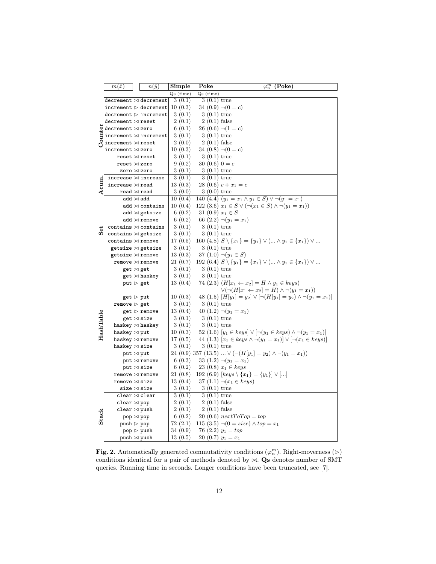|                 | $m(\bar{x})$                                                              | $n(\bar{y})$                            | Simple                                    | Poke |                | $\overline{\varphi_n^m}$<br>(Poke)                                                                                       |
|-----------------|---------------------------------------------------------------------------|-----------------------------------------|-------------------------------------------|------|----------------|--------------------------------------------------------------------------------------------------------------------------|
| Counter<br>Acum |                                                                           |                                         | $Qs$ (time)                               |      | $Qs$ (time)    |                                                                                                                          |
|                 | $decrement \bowtie decrement$                                             |                                         | 3(0.1)                                    |      | $3(0.1)$ true  |                                                                                                                          |
|                 |                                                                           | $increment$ $\triangleright$ decrement  | 10(0.3)                                   |      |                | 34 $(0.9)$ $\neg$ $(0 = c)$                                                                                              |
|                 |                                                                           | $decrement \triangleright increment$    | 3(0.1)                                    |      | 3(0.1) true    |                                                                                                                          |
|                 | $decrement \bowtie reset$                                                 |                                         | 2(0.1)                                    |      | $2(0.1)$ false |                                                                                                                          |
|                 | $ \texttt{decrement} \bowtie \texttt{zero} $                              |                                         | 6(0.1)                                    |      |                | 26 $(0.6) \neg (1 = c)$                                                                                                  |
|                 | increment $\bowtie$ increment                                             |                                         | 3(0.1)                                    |      | $3(0.1)$ true  |                                                                                                                          |
|                 | increment $\bowtie$ reset                                                 |                                         | 2(0.0)                                    |      | $2(0.1)$ false |                                                                                                                          |
|                 | increment $\bowtie$ zero                                                  |                                         | 10(0.3)                                   |      |                | 34 $(0.8)$ $\neg$ $(0 = c)$                                                                                              |
|                 | $reset \bowtie reset$                                                     |                                         | 3(0.1)                                    |      | $3(0.1)$ true  |                                                                                                                          |
|                 | $reset \bowtie zero$                                                      |                                         | 9(0.2)                                    |      |                | 30 $(0.6)$   0 = c                                                                                                       |
|                 | zero $\bowtie$ zero                                                       |                                         | 3(0.1)                                    |      | $3(0.1)$ true  |                                                                                                                          |
|                 | increase $\bowtie$ increase                                               |                                         | 3(0.1)                                    |      | $3(0.1)$ true  |                                                                                                                          |
|                 | increase $\bowtie$ read                                                   |                                         | 13(0.3)                                   |      |                | 28 $(0.6) c + x_1 = c$                                                                                                   |
|                 | read $\bowtie$ read                                                       |                                         | 3(0.0)                                    |      | $3(0.0)$  true |                                                                                                                          |
|                 |                                                                           | add $\bowtie$ add                       | 10(0.4)                                   |      |                | 140 $(4.4)$ $(y_1 = x_1 \wedge y_1 \in S) \vee \neg(y_1 = x_1)$                                                          |
| Set             |                                                                           | add $\bowtie$ contains                  | 10(0.4)                                   |      |                | 122 (3.6) $ x_1 \in S \vee (\neg(x_1 \in S) \wedge \neg(y_1 = x_1))$                                                     |
|                 |                                                                           | add $\bowtie$ getsize                   | 6(0.2)                                    |      |                | 31 $(0.9)   x_1 \in S$                                                                                                   |
|                 |                                                                           | $add \bowtie \texttt{remove}$           | 6(0.2)                                    |      |                | 66 $(2.2) \neg(y_1 = x_1)$                                                                                               |
|                 | contains $\bowtie$ contains                                               |                                         | 3(0.1)                                    |      | $3(0.1)$  true |                                                                                                                          |
|                 | contains $\bowtie$ getsize                                                |                                         | 3(0.1)                                    |      | $3(0.1)$ true  |                                                                                                                          |
|                 | $contains \bowtie remove$                                                 |                                         | 17 (0.5)                                  |      |                | 160 $(4.8) S \setminus \{x_1\} = \{y_1\} \vee (\dots \wedge y_1 \in \{x_1\}) \vee \dots$                                 |
|                 | getsize $\bowtie$ getsize                                                 |                                         | 3(0.1)                                    |      | $3(0.1)$ true  |                                                                                                                          |
|                 | $getsize \bowtie remove$                                                  |                                         | 13(0.3)                                   |      |                | 37 $(1.0) \neg(y_1 \in S)$                                                                                               |
| HashTable       | $remove \bowtie remove$                                                   |                                         | 21(0.7)                                   |      |                | 192 (6.4) $ S \setminus \{y_1\} = \{x_1\} \vee (\dots \wedge y_1 \in \{x_1\}) \vee \dots$                                |
|                 | $get \bowtie get$                                                         |                                         | 3(0.1)                                    |      | $3(0.1)$ true  |                                                                                                                          |
|                 |                                                                           | $get \bowtie$ haskey                    | 3(0.1)                                    |      | $3(0.1)$ true  |                                                                                                                          |
|                 | put $\triangleright$ get                                                  |                                         | 13(0.4)                                   |      |                | 74 $(2.3)  (H[x_1 \leftarrow x_2] = H \wedge y_1 \in keys)$                                                              |
|                 |                                                                           |                                         |                                           |      |                | $\vee (\neg (H[x_1 \leftarrow x_2] = H) \wedge \neg (y_1 = x_1))$                                                        |
|                 | $get \triangleright put$                                                  |                                         | 10(0.3)                                   |      |                | 48 (1.5) $[H[y_1] = y_2] \vee [\neg (H[y_1] = y_2) \wedge \neg (y_1 = x_1)]$                                             |
|                 | $remove$ $\triangleright$ get                                             |                                         | 3(0.1)                                    |      | $3(0.1)$ true  |                                                                                                                          |
|                 |                                                                           | $get \triangleright$ remove             | 13(0.4)                                   |      |                | 40 $(1.2)$ $\neg(y_1 = x_1)$                                                                                             |
|                 |                                                                           | $get \bowtie size$                      | 3(0.1)                                    |      | $3(0.1)$  true |                                                                                                                          |
|                 | haskey $\bowtie$ haskey                                                   |                                         | 3(0.1)                                    |      | $3(0.1)$ true  |                                                                                                                          |
|                 | haskey $\bowtie$ put                                                      |                                         | 10(0.3)                                   |      |                | 52 (1.6) $[y_1 \in keys] \vee [\neg(y_1 \in keys) \wedge \neg(y_1 = x_1)]$                                               |
|                 | haskey $\bowtie$ remove                                                   |                                         | 17(0.5)                                   |      |                | 44 $(1.3)$ [ $x_1 \in keys \land \neg(y_1 = x_1)$ ] $\lor [\neg(x_1 \in keys)]$                                          |
|                 | haskey $\bowtie$ size                                                     |                                         | 3(0.1)                                    |      | $3(0.1)$ true  |                                                                                                                          |
|                 | put $\bowtie$ put                                                         |                                         |                                           |      |                | 24 (0.9) 357 (13.5) $\vee (\neg (H[y_1] = y_2) \wedge \neg (y_1 = x_1))$                                                 |
|                 |                                                                           | $put \bowtie$ remove                    | 6(0.3)                                    |      |                | 33 $(1.2) \neg(y_1 = x_1)$<br>23 $(0.8)   x_1 \in keys$                                                                  |
|                 |                                                                           | put $\bowtie$ size                      | 6(0.2)<br>21(0.8)                         |      |                |                                                                                                                          |
|                 | $remove \bowtie remove$<br>remove $\bowtie$ size                          |                                         | 13 (0.4)                                  |      |                | 192 (6.9) $[keys \setminus \{x_1\} = \{y_1\}] \vee []$<br>37 $(1.1)$ $\neg(x_1 \in keys)$                                |
| Stack           |                                                                           |                                         | 3(0.1)                                    |      | $3(0.1)$ true  |                                                                                                                          |
|                 | $size \bowtie size$                                                       | $\mathtt{clear} \bowtie \mathtt{clear}$ | 3(0.1)                                    |      | $3(0.1)$ true  |                                                                                                                          |
|                 | clear $\bowtie$ pop                                                       |                                         | 2(0.1)                                    |      | $2(0.1)$ false |                                                                                                                          |
|                 | $\mathtt{clear} \bowtie \mathtt{push}$                                    |                                         | 2(0.1)                                    |      | $2(0.1)$ false |                                                                                                                          |
|                 |                                                                           |                                         |                                           |      |                |                                                                                                                          |
|                 |                                                                           |                                         |                                           |      |                |                                                                                                                          |
|                 |                                                                           |                                         |                                           |      |                |                                                                                                                          |
|                 |                                                                           |                                         |                                           |      |                |                                                                                                                          |
|                 | $pop \bowtie pop$<br>$push$ $\triangleright$ $pop$<br>push $\bowtie$ push | $pop \triangleright push$               | 6(0.2)<br>72 (2.1)<br>34 (0.9)<br>13(0.5) |      |                | 20 $(0.6)$  nextToTop = top<br>115 $(3.5) \neg(0 = size) \wedge top = x_1$<br>76 $(2.2) y_1 = top$<br>20 $(0.7) y_1=x_1$ |

Fig. 2. Automatically generated commutativity conditions  $(\varphi_n^m)$ . Right-moverness  $(\triangleright)$ conditions identical for a pair of methods denoted by  $\bowtie$ . Qs denotes number of SMT queries. Running time in seconds. Longer conditions have been truncated, see [7].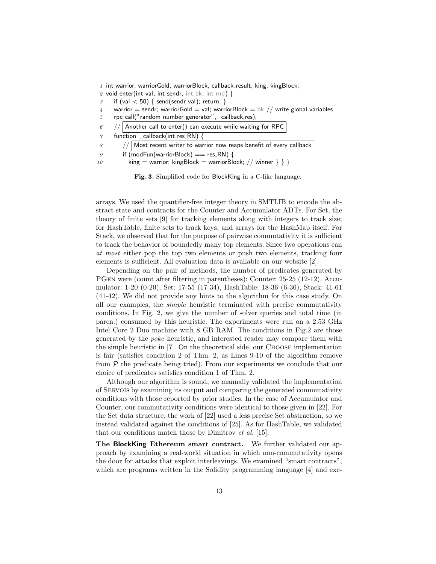$1$  int warrior, warriorGold, warriorBlock, callback\_result, king, kingBlock;  $2$  void enter(int val, int sendr, int bk, int rnd) { 3 if (val  $<$  50) { send(sendr,val); return; } 4 warrior = sendr; warriorGold = val; warriorBlock = bk // write global variables  $5$  rpc\_call("random number generator", \_\_callback,res);  $\frac{6}{6}$  // Another call to enter() can execute while waiting for RPC  $\gamma$  function \_\_callback(int res\_RN) 8 // Most recent writer to warrior now reaps benefit of every callback 9 if  $(modFun(warriorBlock) == res_RN)$ 10 king = warrior; kingBlock = warriorBlock; // winner  $\} \}$ 

Fig. 3. Simplified code for BlockKing in a C-like language.

arrays. We used the quantifier-free integer theory in SMTLIB to encode the abstract state and contracts for the Counter and Accumulator ADTs. For Set, the theory of finite sets [9] for tracking elements along with integers to track size; for HashTable, finite sets to track keys, and arrays for the HashMap itself. For Stack, we observed that for the purpose of pairwise commutativity it is sufficient to track the behavior of boundedly many top elements. Since two operations can at most either pop the top two elements or push two elements, tracking four elements is sufficient. All evaluation data is available on our website [2].

Depending on the pair of methods, the number of predicates generated by PGen were (count after filtering in parentheses): Counter: 25-25 (12-12), Accumulator: 1-20 (0-20), Set: 17-55 (17-34), HashTable: 18-36 (6-36), Stack: 41-61 (41-42). We did not provide any hints to the algorithm for this case study. On all our examples, the simple heuristic terminated with precise commutativity conditions. In Fig. 2, we give the number of solver queries and total time (in paren.) consumed by this heuristic. The experiments were run on a 2.53 GHz Intel Core 2 Duo machine with 8 GB RAM. The conditions in Fig.2 are those generated by the poke heuristic, and interested reader may compare them with the simple heuristic in [7]. On the theoretical side, our Choose implementation is fair (satisfies condition 2 of Thm. 2, as Lines 9-10 of the algorithm remove from  $P$  the predicate being tried). From our experiments we conclude that our choice of predicates satisfies condition 1 of Thm. 2.

Although our algorithm is sound, we manually validated the implementation of Servois by examining its output and comparing the generated commutativity conditions with those reported by prior studies. In the case of Accumulator and Counter, our commutativity conditions were identical to those given in [22]. For the Set data structure, the work of [22] used a less precise Set abstraction, so we instead validated against the conditions of [25]. As for HashTable, we validated that our conditions match those by Dimitrov et al. [15].

The BlockKing Ethereum smart contract. We further validated our approach by examining a real-world situation in which non-commutativity opens the door for attacks that exploit interleavings. We examined "smart contracts", which are programs written in the Solidity programming language [4] and exe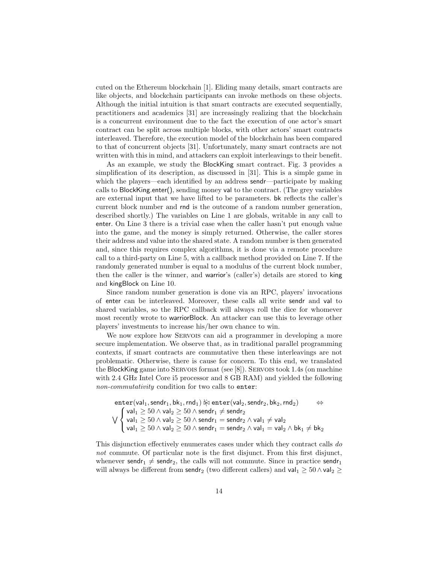cuted on the Ethereum blockchain [1]. Eliding many details, smart contracts are like objects, and blockchain participants can invoke methods on these objects. Although the initial intuition is that smart contracts are executed sequentially, practitioners and academics [31] are increasingly realizing that the blockchain is a concurrent environment due to the fact the execution of one actor's smart contract can be split across multiple blocks, with other actors' smart contracts interleaved. Therefore, the execution model of the blockchain has been compared to that of concurrent objects [31]. Unfortunately, many smart contracts are not written with this in mind, and attackers can exploit interleavings to their benefit.

As an example, we study the BlockKing smart contract. Fig. 3 provides a simplification of its description, as discussed in [31]. This is a simple game in which the players—each identified by an address sendr—participate by making calls to BlockKing.enter(), sending money val to the contract. (The grey variables are external input that we have lifted to be parameters. bk reflects the caller's current block number and rnd is the outcome of a random number generation, described shortly.) The variables on Line 1 are globals, writable in any call to enter. On Line 3 there is a trivial case when the caller hasn't put enough value into the game, and the money is simply returned. Otherwise, the caller stores their address and value into the shared state. A random number is then generated and, since this requires complex algorithms, it is done via a remote procedure call to a third-party on Line 5, with a callback method provided on Line 7. If the randomly generated number is equal to a modulus of the current block number, then the caller is the winner, and warrior's (caller's) details are stored to king and kingBlock on Line 10.

Since random number generation is done via an RPC, players' invocations of enter can be interleaved. Moreover, these calls all write sendr and val to shared variables, so the RPC callback will always roll the dice for whomever most recently wrote to warriorBlock. An attacker can use this to leverage other players' investments to increase his/her own chance to win.

We now explore how SERVOIS can aid a programmer in developing a more secure implementation. We observe that, as in traditional parallel programming contexts, if smart contracts are commutative then these interleavings are not problematic. Otherwise, there is cause for concern. To this end, we translated the BlockKing game into Servois format (see [8]). Servois took 1.4s (on machine with 2.4 GHz Intel Core i5 processor and 8 GB RAM) and yielded the following non-commutativity condition for two calls to enter:

$$
\begin{array}{ll} \text{enter}(\text{val}_1, \text{sendr}_1, \text{bk}_1, \text{rnd}_1) \bigotimes \text{enter}(\text{val}_2, \text{sendr}_2, \text{bk}_2, \text{rnd}_2) & \Leftrightarrow \\ \text{val}_1 \geq 50 \wedge \text{val}_2 \geq 50 \wedge \text{sendr}_1 \neq \text{sendr}_2 \\ \text{val}_1 \geq 50 \wedge \text{val}_2 \geq 50 \wedge \text{sendr}_1 = \text{sendr}_2 \wedge \text{val}_1 \neq \text{val}_2 \\ \text{val}_1 \geq 50 \wedge \text{val}_2 \geq 50 \wedge \text{sendr}_1 = \text{sendr}_2 \wedge \text{val}_1 = \text{val}_2 \wedge \text{bk}_1 \neq \text{bk}_2 \end{array}
$$

This disjunction effectively enumerates cases under which they contract calls do not commute. Of particular note is the first disjunct. From this first disjunct, whenever sendr<sub>1</sub>  $\neq$  sendr<sub>2</sub>, the calls will not commute. Since in practice sendr<sub>1</sub> will always be different from sendr<sub>2</sub> (two different callers) and  $\mathsf{val}_1 \geq 50 \wedge \mathsf{val}_2 \geq$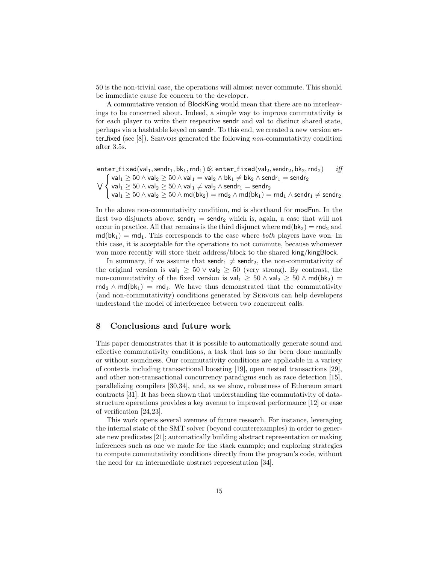50 is the non-trivial case, the operations will almost never commute. This should be immediate cause for concern to the developer.

A commutative version of BlockKing would mean that there are no interleavings to be concerned about. Indeed, a simple way to improve commutativity is for each player to write their respective sendr and val to distinct shared state, perhaps via a hashtable keyed on sendr. To this end, we created a new version enter fixed (see [8]). Servois generated the following non-commutativity condition after 3.5s.

enter\_fixed(val<sub>1</sub>,sendr<sub>1</sub>, bk<sub>1</sub>, rnd<sub>1</sub>)  $\hat{\Join}$  enter\_fixed(val<sub>2</sub>, sendr<sub>2</sub>, bk<sub>2</sub>, rnd<sub>2</sub>) iff W  $\sqrt{ }$  $\int$  $\mathcal{L}$ val $_1 \geq 50 \wedge$  val $_2 \geq 50 \wedge$  val $_1=$  val $_2 \wedge$  bk $_1\neq$  bk $_2 \wedge$  sendr $_1=$  sendr $_2$ val $_1 \ge 50 \wedge$  val $_2 \ge 50 \wedge$  val $_1 \ne$  val $_2 \wedge$  sendr $_1 =$  sendr $_2$ val $_1\geq 50\wedge$  val $_2\geq 50\wedge$  md $(\sf{bk}_2) =$  rnd $_2\wedge$  md $(\sf{bk}_1) =$  rnd $_1\wedge$  sendr $_1\neq$  sendr $_2$ 

In the above non-commutativity condition, md is shorthand for modFun. In the first two disjuncts above,  $\text{sendr}_1 = \text{sendr}_2$  which is, again, a case that will not occur in practice. All that remains is the third disjunct where  $md(bk_2) = rnd_2$  and  $md(bk_1) = rnd_1$ . This corresponds to the case where *both* players have won. In this case, it is acceptable for the operations to not commute, because whomever won more recently will store their address/block to the shared king/kingBlock.

In summary, if we assume that  $\mathsf{sendr}_1 \neq \mathsf{sendr}_2$ , the non-commutativity of the original version is  $\mathsf{val}_1 \geq 50 \vee \mathsf{val}_2 \geq 50$  (very strong). By contrast, the non-commutativity of the fixed version is  $\mathsf{val}_1 \geq 50 \wedge \mathsf{val}_2 \geq 50 \wedge \mathsf{md}(\mathsf{bk}_2) =$  $\mathsf{rnd}_2 \wedge \mathsf{md}(\mathsf{bk}_1) = \mathsf{rnd}_1$ . We have thus demonstrated that the commutativity (and non-commutativity) conditions generated by Servois can help developers understand the model of interference between two concurrent calls.

## 8 Conclusions and future work

This paper demonstrates that it is possible to automatically generate sound and effective commutativity conditions, a task that has so far been done manually or without soundness. Our commutativity conditions are applicable in a variety of contexts including transactional boosting [19], open nested transactions [29], and other non-transactional concurrency paradigms such as race detection [15], parallelizing compilers [30,34], and, as we show, robustness of Ethereum smart contracts [31]. It has been shown that understanding the commutativity of datastructure operations provides a key avenue to improved performance [12] or ease of verification [24,23].

This work opens several avenues of future research. For instance, leveraging the internal state of the SMT solver (beyond counterexamples) in order to generate new predicates [21]; automatically building abstract representation or making inferences such as one we made for the stack example; and exploring strategies to compute commutativity conditions directly from the program's code, without the need for an intermediate abstract representation [34].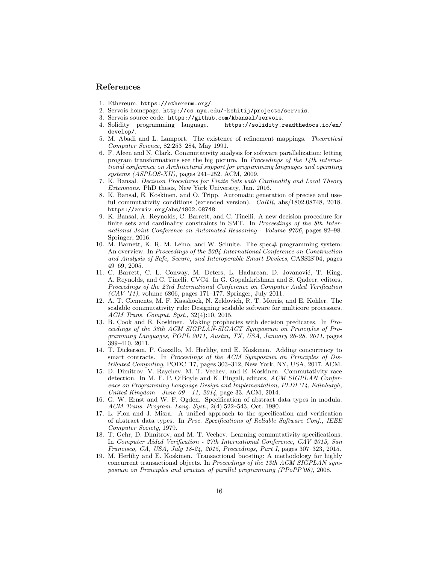#### References

- 1. Ethereum. https://ethereum.org/.
- 2. Servois homepage. http://cs.nyu.edu/~kshitij/projects/servois.
- 3. Servois source code. https://github.com/kbansal/servois.<br>4. Solidity programming language. https://solidity.r
- https://solidity.readthedocs.io/en/ develop/.
- 5. M. Abadi and L. Lamport. The existence of refinement mappings. Theoretical Computer Science, 82:253–284, May 1991.
- 6. F. Aleen and N. Clark. Commutativity analysis for software parallelization: letting program transformations see the big picture. In Proceedings of the 14th international conference on Architectural support for programming languages and operating systems (ASPLOS-XII), pages 241–252. ACM, 2009.
- 7. K. Bansal. Decision Procedures for Finite Sets with Cardinality and Local Theory Extensions. PhD thesis, New York University, Jan. 2016.
- 8. K. Bansal, E. Koskinen, and O. Tripp. Automatic generation of precise and useful commutativity conditions (extended version). CoRR, abs/1802.08748, 2018. https://arxiv.org/abs/1802.08748.
- 9. K. Bansal, A. Reynolds, C. Barrett, and C. Tinelli. A new decision procedure for finite sets and cardinality constraints in SMT. In Proceedings of the 8th International Joint Conference on Automated Reasoning - Volume 9706, pages 82–98. Springer, 2016.
- 10. M. Barnett, K. R. M. Leino, and W. Schulte. The spec# programming system: An overview. In Proceedings of the 2004 International Conference on Construction and Analysis of Safe, Secure, and Interoperable Smart Devices, CASSIS'04, pages 49–69, 2005.
- 11. C. Barrett, C. L. Conway, M. Deters, L. Hadarean, D. Jovanović, T. King, A. Reynolds, and C. Tinelli. CVC4. In G. Gopalakrishnan and S. Qadeer, editors, Proceedings of the 23rd International Conference on Computer Aided Verification  $(CAV '11)$ , volume 6806, pages 171-177. Springer, July 2011.
- 12. A. T. Clements, M. F. Kaashoek, N. Zeldovich, R. T. Morris, and E. Kohler. The scalable commutativity rule: Designing scalable software for multicore processors. ACM Trans. Comput. Syst., 32(4):10, 2015.
- 13. B. Cook and E. Koskinen. Making prophecies with decision predicates. In Proceedings of the 38th ACM SIGPLAN-SIGACT Symposium on Principles of Programming Languages, POPL 2011, Austin, TX, USA, January 26-28, 2011, pages 399–410, 2011.
- 14. T. Dickerson, P. Gazzillo, M. Herlihy, and E. Koskinen. Adding concurrency to smart contracts. In Proceedings of the ACM Symposium on Principles of Distributed Computing, PODC '17, pages 303–312, New York, NY, USA, 2017. ACM.
- 15. D. Dimitrov, V. Raychev, M. T. Vechev, and E. Koskinen. Commutativity race detection. In M. F. P. O'Boyle and K. Pingali, editors, ACM SIGPLAN Conference on Programming Language Design and Implementation, PLDI '14, Edinburgh, United Kingdom - June 09 - 11, 2014, page 33. ACM, 2014.
- 16. G. W. Ernst and W. F. Ogden. Specification of abstract data types in modula. ACM Trans. Program. Lang. Syst., 2(4):522–543, Oct. 1980.
- 17. L. Flon and J. Misra. A unified approach to the specification and verification of abstract data types. In Proc. Specifications of Reliable Software Conf., IEEE Computer Society, 1979.
- 18. T. Gehr, D. Dimitrov, and M. T. Vechev. Learning commutativity specifications. In Computer Aided Verification - 27th International Conference, CAV 2015, San Francisco, CA, USA, July 18-24, 2015, Proceedings, Part I, pages 307–323, 2015.
- 19. M. Herlihy and E. Koskinen. Transactional boosting: A methodology for highly concurrent transactional objects. In Proceedings of the 13th ACM SIGPLAN symposium on Principles and practice of parallel programming (PPoPP'08), 2008.